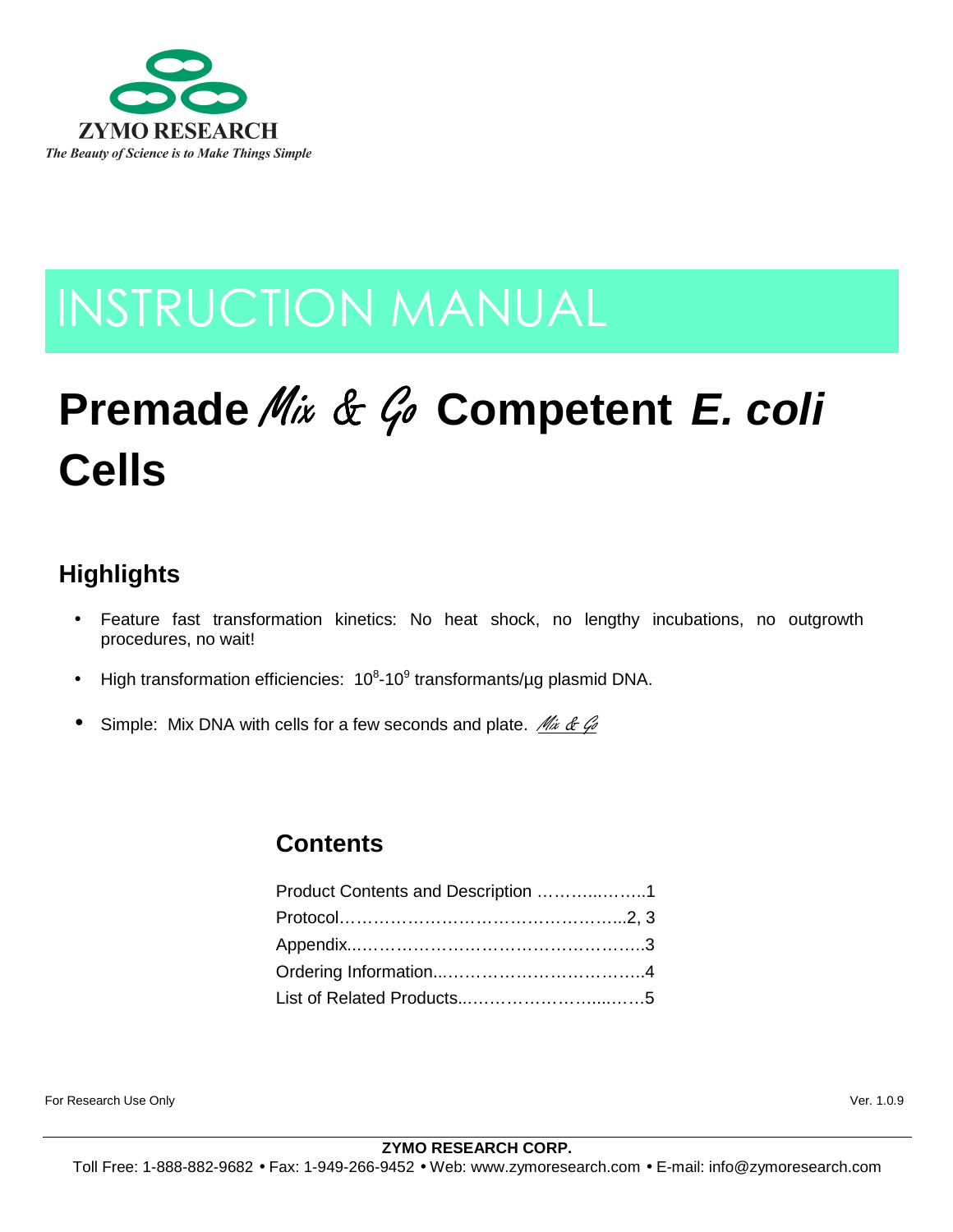

# INSTRUCTION MANUAL

# **Premade** Mix & Go Competent E. coli **Cells**

# **Highlights**

- Feature fast transformation kinetics: No heat shock, no lengthy incubations, no outgrowth procedures, no wait!
- High transformation efficiencies:  $10^8$ -10<sup>9</sup> transformants/µg plasmid DNA.
- Simple: Mix DNA with cells for a few seconds and plate. Mix & Go

# **Contents**

| Product Contents and Description 1 |
|------------------------------------|
|                                    |
|                                    |
|                                    |
|                                    |
|                                    |

For Research Use Only Ver. 1.0.9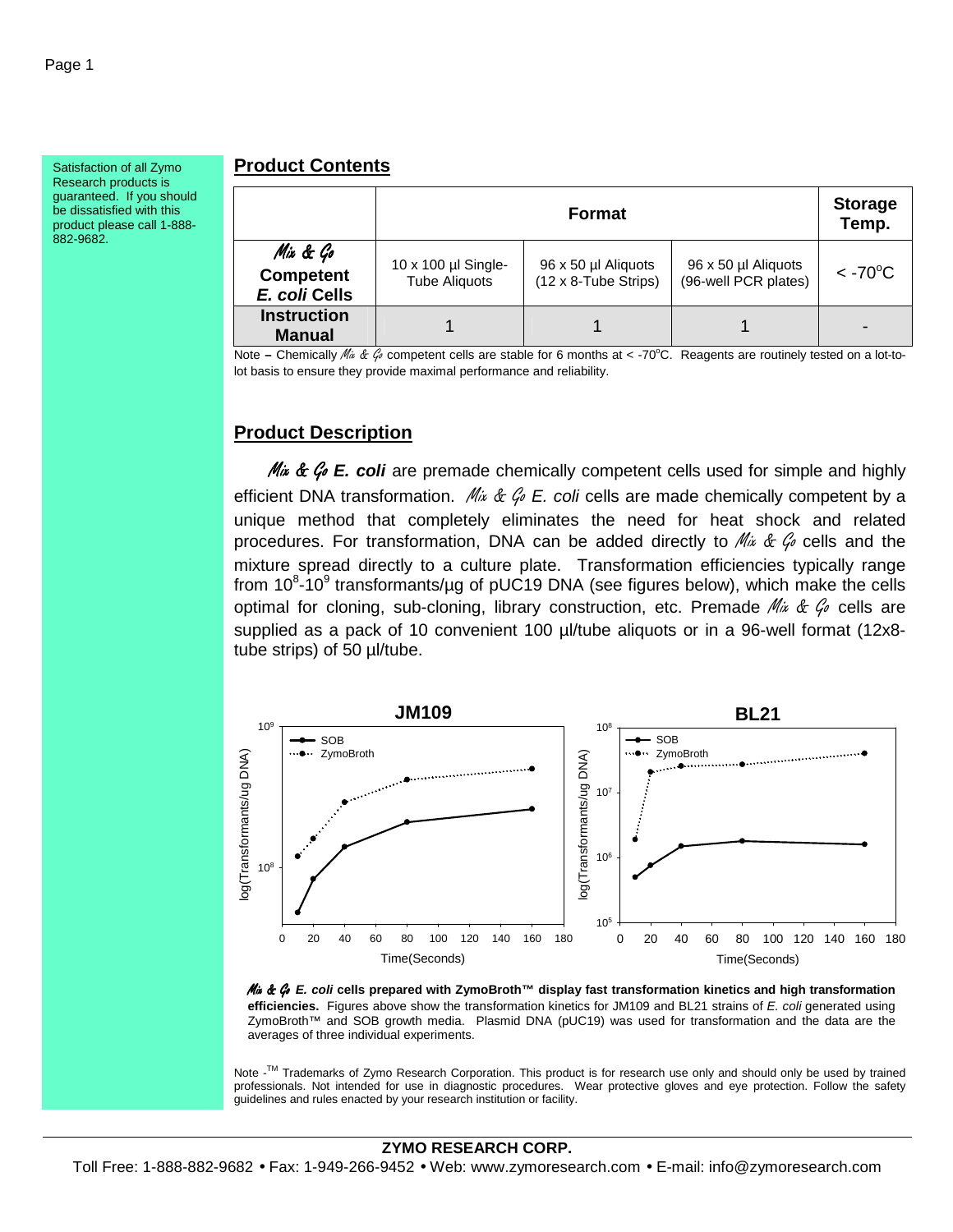Satisfaction of all Zymo Research products is guaranteed. If you should be dissatisfied with this product please call 1-888- 882-9682.

# **Product Contents**

|                                               | <b>Format</b>                               |                                                     |                                             | <b>Storage</b><br>Temp.      |
|-----------------------------------------------|---------------------------------------------|-----------------------------------------------------|---------------------------------------------|------------------------------|
| Mix & Go<br><b>Competent</b><br>E. coli Cells | 10 x 100 µl Single-<br><b>Tube Aliquots</b> | 96 x 50 µl Aliquots<br>$(12 \times 8$ -Tube Strips) | 96 x 50 µl Aliquots<br>(96-well PCR plates) | $<$ -70 $\mathrm{^{\circ}C}$ |
| <b>Instruction</b><br><b>Manual</b>           |                                             |                                                     |                                             |                              |

Note – Chemically M<sub>ix</sub> & G competent cells are stable for 6 months at < -70°C. Reagents are routinely tested on a lot-tolot basis to ensure they provide maximal performance and reliability.

# **Product Description**

Mix & Go E. coli are premade chemically competent cells used for simple and highly efficient DNA transformation.  $\mathcal{M}_{ik} \& \mathcal{G}_{ik} \to \mathcal{G}_{ik}$  cells are made chemically competent by a unique method that completely eliminates the need for heat shock and related procedures. For transformation, DNA can be added directly to  $Mix \& G$  cells and the mixture spread directly to a culture plate. Transformation efficiencies typically range from 10 $8-10^9$  transformants/µg of pUC19 DNA (see figures below), which make the cells optimal for cloning, sub-cloning, library construction, etc. Premade  $\mathcal{M}_{ik}$  &  $\mathcal{G}_{\ell}$  cells are supplied as a pack of 10 convenient 100 µl/tube aliquots or in a 96-well format (12x8tube strips) of 50 µl/tube.



Mix & Go **E. coli cells prepared with ZymoBroth™ display fast transformation kinetics and high transformation efficiencies.** Figures above show the transformation kinetics for JM109 and BL21 strains of E. coli generated using ZymoBroth™ and SOB growth media. Plasmid DNA (pUC19) was used for transformation and the data are the averages of three individual experiments.

Note -<sup>™</sup> Trademarks of Zymo Research Corporation. This product is for research use only and should only be used by trained professionals. Not intended for use in diagnostic procedures. Wear protective gloves and eye protection. Follow the safety guidelines and rules enacted by your research institution or facility.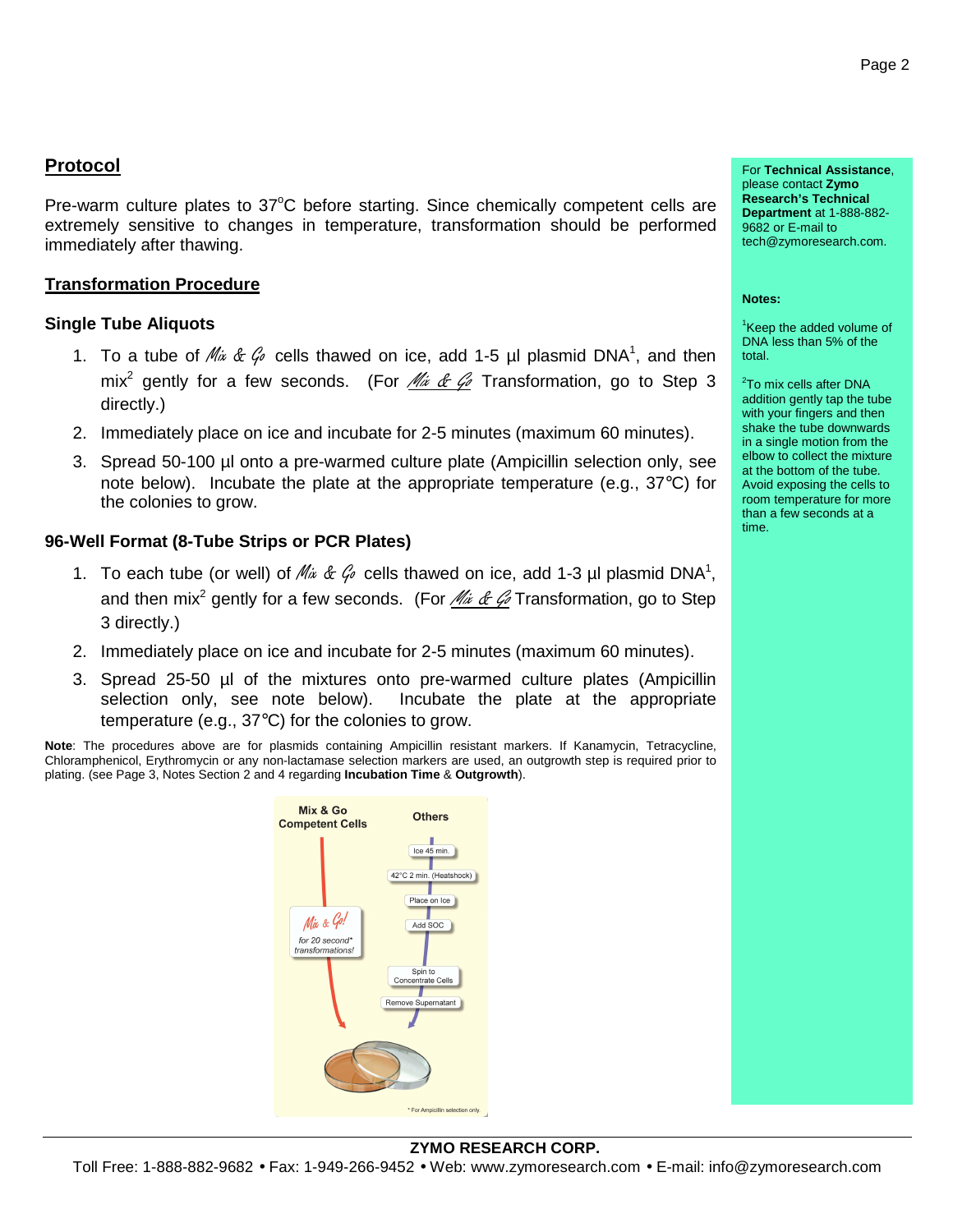# **Protocol**

Pre-warm culture plates to  $37^{\circ}$ C before starting. Since chemically competent cells are extremely sensitive to changes in temperature, transformation should be performed immediately after thawing.

## **Transformation Procedure**

### **Single Tube Aliquots**

- 1. To a tube of  $Mix \& G$  cells thawed on ice, add 1-5 µl plasmid DNA<sup>1</sup>, and then mix<sup>2</sup> gently for a few seconds. (For *Mix & G* Transformation, go to Step 3 directly.)
- 2. Immediately place on ice and incubate for 2-5 minutes (maximum 60 minutes).
- 3. Spread 50-100 µl onto a pre-warmed culture plate (Ampicillin selection only, see note below). Incubate the plate at the appropriate temperature (e.g., 37°C) for the colonies to grow.

### **96-Well Format (8-Tube Strips or PCR Plates)**

- 1. To each tube (or well) of  $\mathcal{M}_{\dot{\alpha}}$  &  $\mathcal{G}_{\dot{\beta}}$  cells thawed on ice, add 1-3 µl plasmid DNA<sup>1</sup>, and then mix<sup>2</sup> gently for a few seconds. (For *Mix & G* Transformation, go to Step 3 directly.)
- 2. Immediately place on ice and incubate for 2-5 minutes (maximum 60 minutes).
- 3. Spread 25-50 µl of the mixtures onto pre-warmed culture plates (Ampicillin selection only, see note below). Incubate the plate at the appropriate temperature (e.g., 37°C) for the colonies to grow.

**Note**: The procedures above are for plasmids containing Ampicillin resistant markers. If Kanamycin, Tetracycline, Chloramphenicol, Erythromycin or any non-lactamase selection markers are used, an outgrowth step is required prior to plating. (see Page 3, Notes Section 2 and 4 regarding **Incubation Time** & **Outgrowth**).



For **Technical Assistance**, please contact **Zymo Research's Technical Department** at 1-888-882- 9682 or E-mail to tech@zymoresearch.com.

#### **Notes:**

<sup>1</sup>Keep the added volume of DNA less than 5% of the total.

<sup>2</sup>To mix cells after DNA addition gently tap the tube with your fingers and then shake the tube downwards in a single motion from the elbow to collect the mixture at the bottom of the tube. Avoid exposing the cells to room temperature for more than a few seconds at a time.

#### **ZYMO RESEARCH CORP.**

Toll Free: 1-888-882-9682 • Fax: 1-949-266-9452 • Web: www.zymoresearch.com • E-mail: info@zymoresearch.com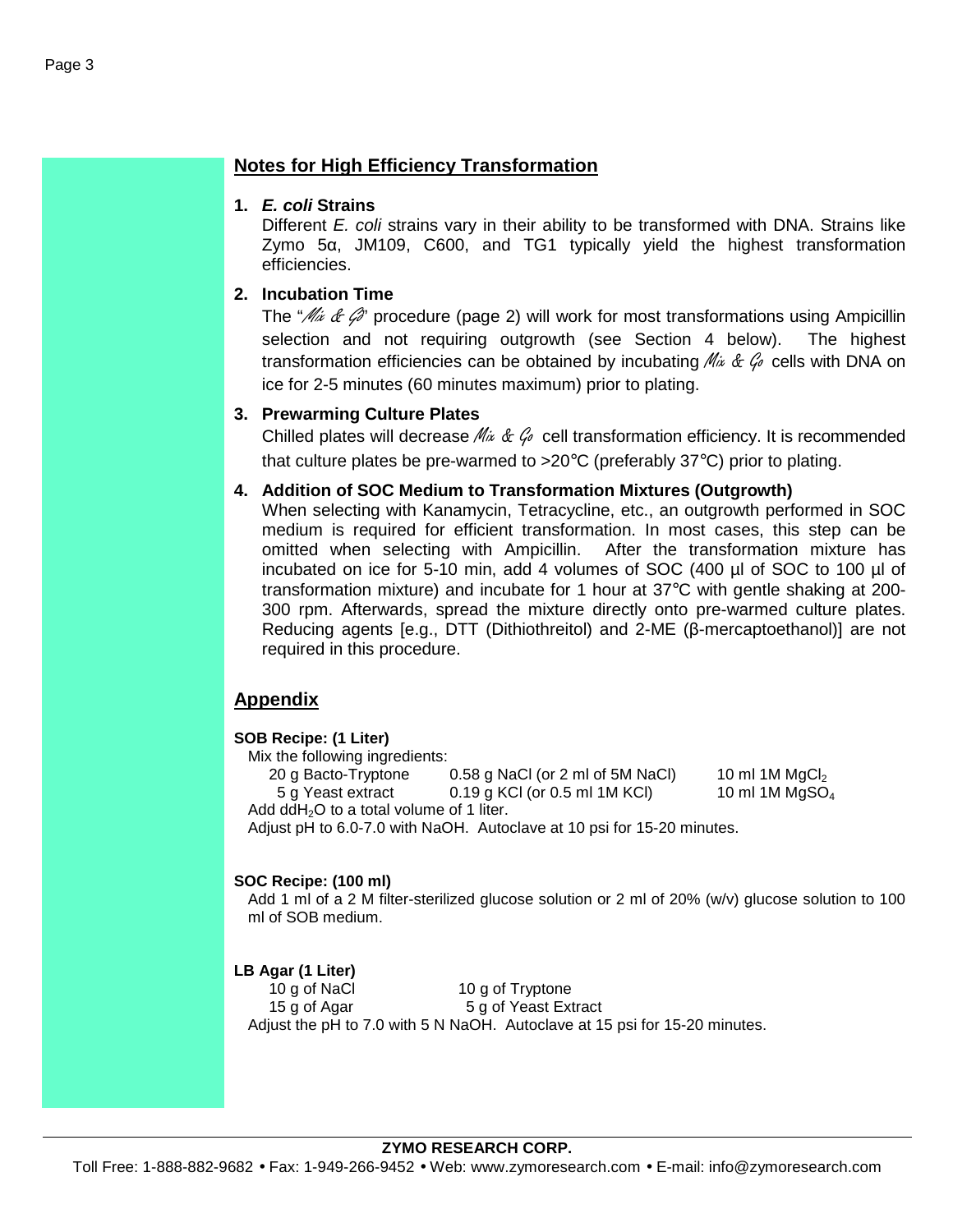# **Notes for High Efficiency Transformation**

### **1. E. coli Strains**

Different E. coli strains vary in their ability to be transformed with DNA. Strains like Zymo 5α, JM109, C600, and TG1 typically yield the highest transformation efficiencies.

# **2. Incubation Time**

The " $\mathcal{N}$   $\acute{\mathcal{U}}$   $\acute{\mathcal{U}}$  procedure (page 2) will work for most transformations using Ampicillin selection and not requiring outgrowth (see Section 4 below). The highest transformation efficiencies can be obtained by incubating  $Mix \& G$  cells with DNA on ice for 2-5 minutes (60 minutes maximum) prior to plating.

### **3. Prewarming Culture Plates**

Chilled plates will decrease  $\mathbb{M}_{k}$  &  $\mathcal{G}_{\ell}$  cell transformation efficiency. It is recommended that culture plates be pre-warmed to >20°C (preferably 37°C) prior to plating.

## **4. Addition of SOC Medium to Transformation Mixtures (Outgrowth)**

When selecting with Kanamycin, Tetracycline, etc., an outgrowth performed in SOC medium is required for efficient transformation. In most cases, this step can be omitted when selecting with Ampicillin. After the transformation mixture has incubated on ice for 5-10 min, add 4 volumes of SOC (400 µl of SOC to 100 µl of transformation mixture) and incubate for 1 hour at 37°C with gentle shaking at 200- 300 rpm. Afterwards, spread the mixture directly onto pre-warmed culture plates. Reducing agents [e.g., DTT (Dithiothreitol) and 2-ME (β-mercaptoethanol)] are not required in this procedure.

## **Appendix**

#### **SOB Recipe: (1 Liter)**

Mix the following ingredients:

20 g Bacto-Tryptone  $0.58$  g NaCl (or 2 ml of 5M NaCl) 10 ml 1M MgCl<sub>2</sub> 5 g Yeast extract  $0.19$  g KCl (or 0.5 ml 1M KCl) 10 ml 1M MgSO<sub>4</sub>

Add ddH<sub>2</sub>O to a total volume of 1 liter.

Adjust pH to 6.0-7.0 with NaOH. Autoclave at 10 psi for 15-20 minutes.

### **SOC Recipe: (100 ml)**

Add 1 ml of a 2 M filter-sterilized glucose solution or 2 ml of 20% (w/v) glucose solution to 100 ml of SOB medium.

#### **LB Agar (1 Liter)**

10 g of NaCl 10 g of Tryptone 15 g of Agar 5 g of Yeast Extract Adjust the pH to 7.0 with 5 N NaOH. Autoclave at 15 psi for 15-20 minutes.

#### **ZYMO RESEARCH CORP.**

Toll Free: 1-888-882-9682 • Fax: 1-949-266-9452 • Web: www.zymoresearch.com • E-mail: info@zymoresearch.com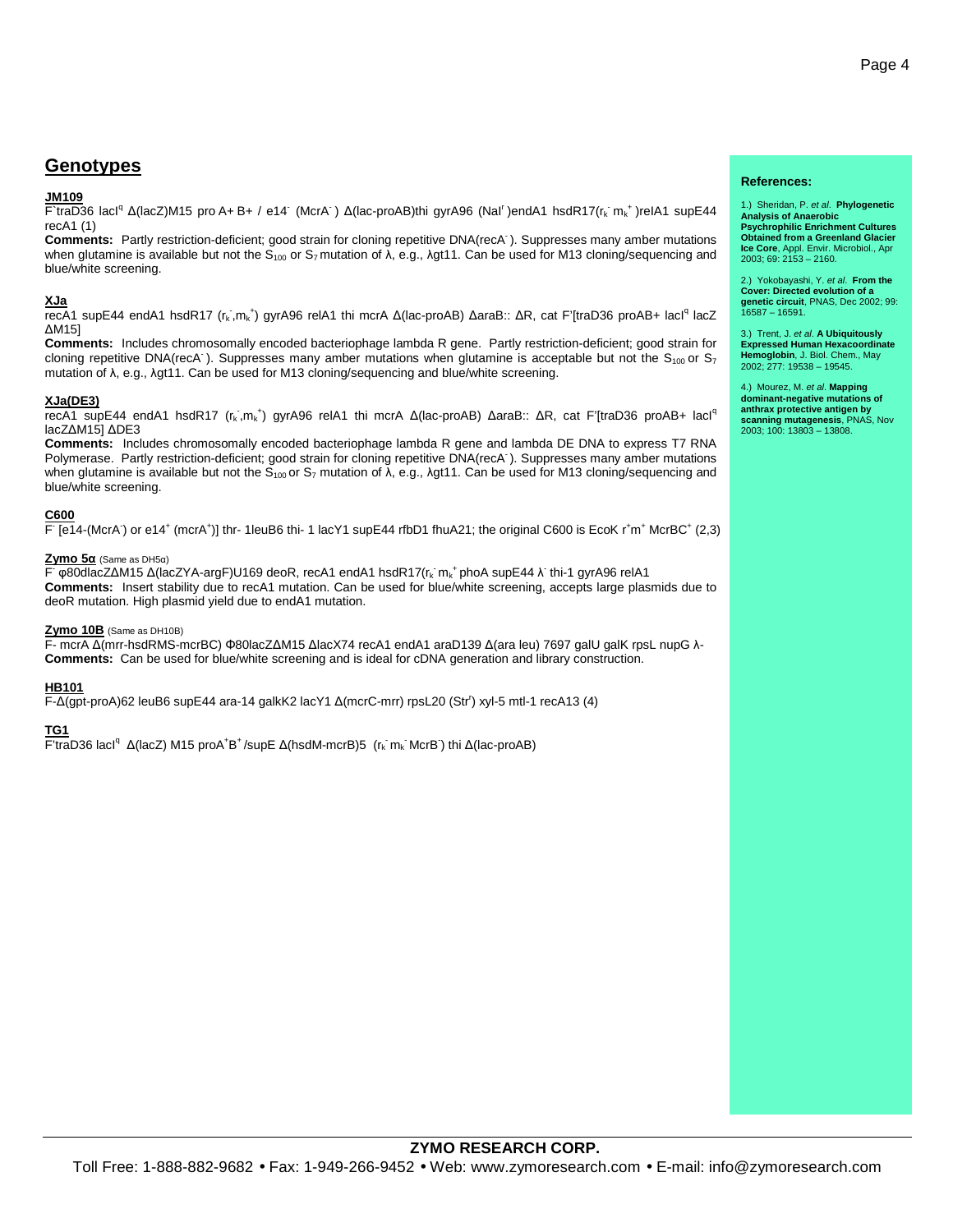## **Genotypes**

#### **JM109**

F`traD36 lacl<sup>q</sup> Δ(lacZ)M15 pro A+ B+ / e14<sup>-</sup> (McrA<sup>-</sup>) Δ(lac-proAB)thi gyrA96 (Nal<sup>r</sup>)endA1 hsdR17(r<sub>k</sub>·m<sub>k</sub>\*)relA1 supE44 recA1 (1)

**Comments:** Partly restriction-deficient; good strain for cloning repetitive DNA(recA- ). Suppresses many amber mutations when glutamine is available but not the  $\bar{S}_{100}$  or  $S_7$  mutation of  $\bar{\lambda}$ , e.g.,  $\lambda$ gt11. Can be used for M13 cloning/sequencing and blue/white screening.

#### **XJa**

recA1 supE44 endA1 hsdR17 (r<sub>k</sub>,m<sub>k</sub><sup>+</sup>) gyrA96 relA1 thi mcrA Δ(lac-proAB) ∆araB:: ΔR, cat F'[traD36 proAB+ lacl<sup>q</sup> lacZ ∆M15]

**Comments:** Includes chromosomally encoded bacteriophage lambda R gene. Partly restriction-deficient; good strain for cloning repetitive DNA(recA). Suppresses many amber mutations when glutamine is acceptable but not the  $S_{100}$  or  $S_7$ mutation of λ, e.g., λgt11. Can be used for M13 cloning/sequencing and blue/white screening.

#### **XJa(DE3)**

recA1 supE44 endA1 hsdR17 (r<sub>k</sub>,m<sub>k</sub><sup>+</sup>) gyrA96 relA1 thi mcrA Δ(lac-proAB) ΔaraB:: ΔR, cat F'[traD36 proAB+ lacl<sup>q</sup> lacZ∆M15] ∆DE3

**Comments:** Includes chromosomally encoded bacteriophage lambda R gene and lambda DE DNA to express T7 RNA Polymerase. Partly restriction-deficient; good strain for cloning repetitive DNA(recA<sup>-</sup>). Suppresses many amber mutations when glutamine is available but not the  $S_{100}$  or  $S_7$  mutation of  $\lambda$ , e.g.,  $\lambda$ gt11. Can be used for M13 cloning/sequencing and blue/white screening.

#### **C600**

 $\overline{F}$  [e14-(McrA) or e14<sup>+</sup> (mcrA<sup>+</sup>)] thr- 1 leuB6 thi- 1 lacY1 supE44 rfbD1 fhuA21; the original C600 is EcoK r<sup>+</sup>m<sup>+</sup> McrBC<sup>+</sup> (2,3)

#### **Zymo 5α** (Same as DH5α)

F φ80dlacZ∆M15 ∆(lacZYA-argF)U169 deoR, recA1 endA1 hsdR17(r<sub>k</sub> m<sub>k</sub><sup>+</sup> phoA supE44 λ thi-1 gyrA96 relA1 **Comments:** Insert stability due to recA1 mutation. Can be used for blue/white screening, accepts large plasmids due to deoR mutation. High plasmid yield due to endA1 mutation.

#### **Zymo 10B** (Same as DH10B)

F- mcrA ∆(mrr-hsdRMS-mcrBC) Φ80lacZ∆M15 ∆lacX74 recA1 endA1 araD139 ∆(ara leu) 7697 galU galK rpsL nupG λ-**Comments:** Can be used for blue/white screening and is ideal for cDNA generation and library construction.

#### **HB101**

F-∆(gpt-proA)62 leuB6 supE44 ara-14 galkK2 lacY1 ∆(mcrC-mrr) rpsL20 (Str<sup>r</sup> ) xyl-5 mtl-1 recA13 (4)

#### **TG1**

F'traD36 lacl<sup>q</sup> Δ(lacZ) M15 proA<sup>+</sup>B<sup>+</sup>/supE Δ(hsdM-mcrB)5 (r<sub>k</sub> m<sub>k</sub> McrB) thi Δ(lac-proAB)

#### **References:**

1.) Sheridan, P. et al. **Phylogenetic Analysis of Anaerobic Psychrophilic Enrichment Cultures Obtained from a Greenland Glacier Ice Core**, Appl. Envir. Microbiol., Apr 2003; 69: 2153 – 2160.

2.) Yokobayashi, Y. et al. **From the Cover: Directed evolution of a genetic circuit**, PNAS, Dec 2002; 99: 16587 – 16591.

3.) Trent, J. et al. **A Ubiquitously Expressed Human Hexacoordinate Hemoglobin**, J. Biol. Chem., May<br>2002; 277: 19538 – 19545.

4.) Mourez, M. et al. **Mapping dominant-negative mutations of anthrax protective antigen by scanning mutagenesis**, PNAS, Nov 2003; 100: 13803 – 13808.